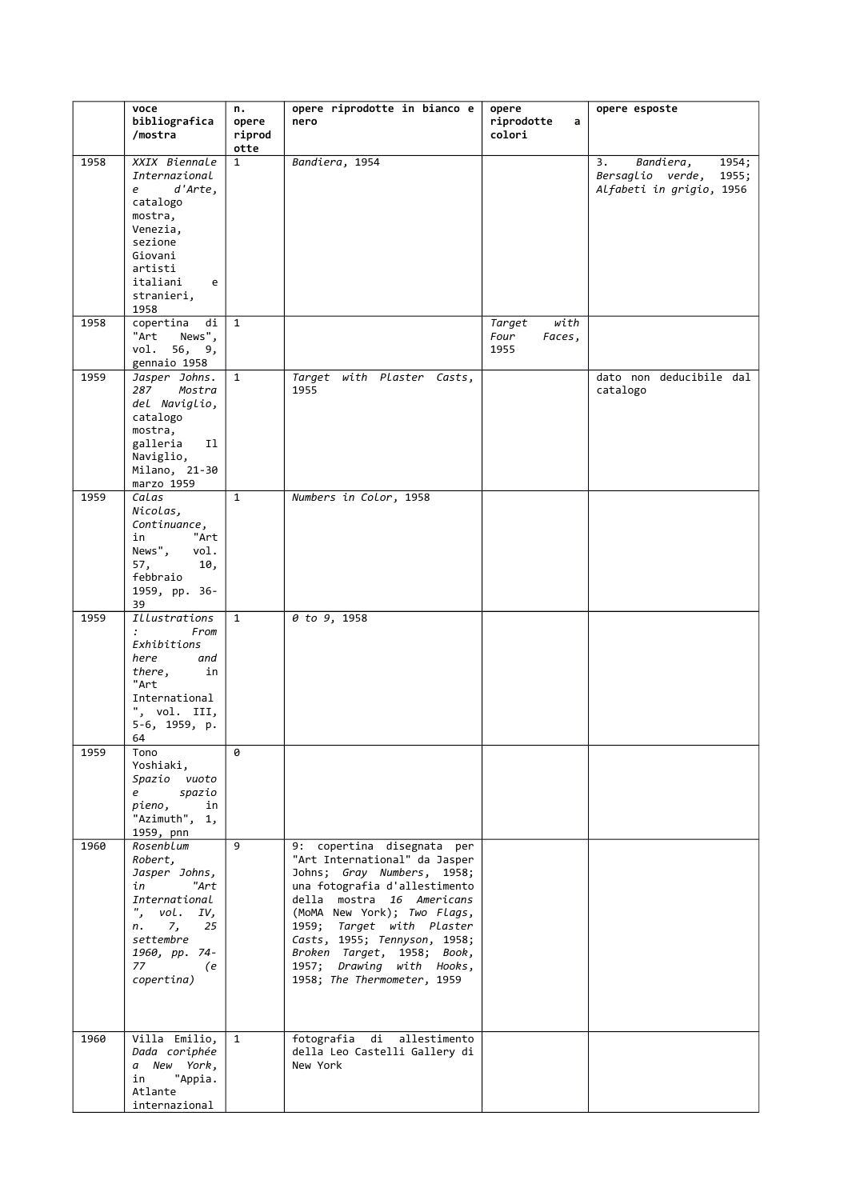|      | voce                                           | n.                   | opere riprodotte in bianco e                                                          | opere                            | opere esposte                                         |
|------|------------------------------------------------|----------------------|---------------------------------------------------------------------------------------|----------------------------------|-------------------------------------------------------|
|      | bibliografica<br>/mostra                       | opere<br>riprod      | nero                                                                                  | riprodotte<br>a<br>colori        |                                                       |
| 1958 | XXIX Biennale<br>Internazional                 | otte<br>$\mathbf{1}$ | Bandiera, 1954                                                                        |                                  | 3.<br>Bandiera,<br>1954;<br>Bersaglio verde,<br>1955; |
|      | d'Arte,<br>e<br>catalogo                       |                      |                                                                                       |                                  | Alfabeti in grigio, 1956                              |
|      | mostra,<br>Venezia,<br>sezione                 |                      |                                                                                       |                                  |                                                       |
|      | Giovani<br>artisti                             |                      |                                                                                       |                                  |                                                       |
|      | italiani<br>e<br>stranieri,<br>1958            |                      |                                                                                       |                                  |                                                       |
| 1958 | $copert$ ina<br>di<br>"Art<br>News",           | $\mathbf{1}$         |                                                                                       | with<br>Target<br>Four<br>Faces, |                                                       |
|      | vol. 56, 9,<br>gennaio 1958                    |                      |                                                                                       | 1955                             |                                                       |
| 1959 | Jasper Johns.<br>Mostra<br>287                 | $\mathbf{1}$         | Target with Plaster Casts,<br>1955                                                    |                                  | dato non deducibile dal<br>catalogo                   |
|      | del Naviglio,<br>catalogo<br>mostra,           |                      |                                                                                       |                                  |                                                       |
|      | galleria<br>11<br>Naviglio,                    |                      |                                                                                       |                                  |                                                       |
|      | Milano, 21-30<br>marzo 1959                    |                      |                                                                                       |                                  |                                                       |
| 1959 | Calas<br>Nicolas,                              | $\mathbf{1}$         | Numbers in Color, 1958                                                                |                                  |                                                       |
|      | Continuance,<br>in<br>"Art<br>News",           |                      |                                                                                       |                                  |                                                       |
|      | vol.<br>57,<br>10,<br>febbraio                 |                      |                                                                                       |                                  |                                                       |
|      | 1959, pp. 36-<br>39                            |                      |                                                                                       |                                  |                                                       |
| 1959 | Illustrations<br>From<br>$\ddot{\cdot}$        | $\mathbf{1}$         | 0 to 9, 1958                                                                          |                                  |                                                       |
|      | Exhibitions<br>here<br>and                     |                      |                                                                                       |                                  |                                                       |
|      | in<br>there,<br>"Art                           |                      |                                                                                       |                                  |                                                       |
|      | International<br>", vol. III,<br>5-6, 1959, p. |                      |                                                                                       |                                  |                                                       |
| 1959 | 64<br>Tono                                     | 0                    |                                                                                       |                                  |                                                       |
|      | Yoshiaki,<br>Spazio vuoto                      |                      |                                                                                       |                                  |                                                       |
|      | spazio<br>e –<br>pieno,<br>in                  |                      |                                                                                       |                                  |                                                       |
|      | "Azimuth", 1,<br>1959, pnn                     |                      |                                                                                       |                                  |                                                       |
| 1960 | Rosenblum<br>Robert,                           | 9                    | 9: copertina disegnata per<br>"Art International" da Jasper                           |                                  |                                                       |
|      | Jasper Johns,<br>in<br>"Art                    |                      | Johns; Gray Numbers, 1958;<br>una fotografia d'allestimento                           |                                  |                                                       |
|      | International<br>", $vol. IV,$<br>7, 25<br>n.  |                      | della mostra 16 Americans<br>(MoMA New York); Two Flags,<br>1959; Target with Plaster |                                  |                                                       |
|      | settembre<br>1960, pp. 74-                     |                      | Casts, 1955; Tennyson, 1958;<br>Broken Target, 1958; Book,                            |                                  |                                                       |
|      | 77<br>(e<br>copertina)                         |                      | 1957; Drawing with Hooks,<br>1958; The Thermometer, 1959                              |                                  |                                                       |
|      |                                                |                      |                                                                                       |                                  |                                                       |
| 1960 | Villa Emilio,<br>Dada coriphée                 | $\mathbf{1}$         | fotografia di allestimento<br>della Leo Castelli Gallery di                           |                                  |                                                       |
|      | a New York,<br>"Appia.<br>in                   |                      | New York                                                                              |                                  |                                                       |
|      | Atlante<br>internazional                       |                      |                                                                                       |                                  |                                                       |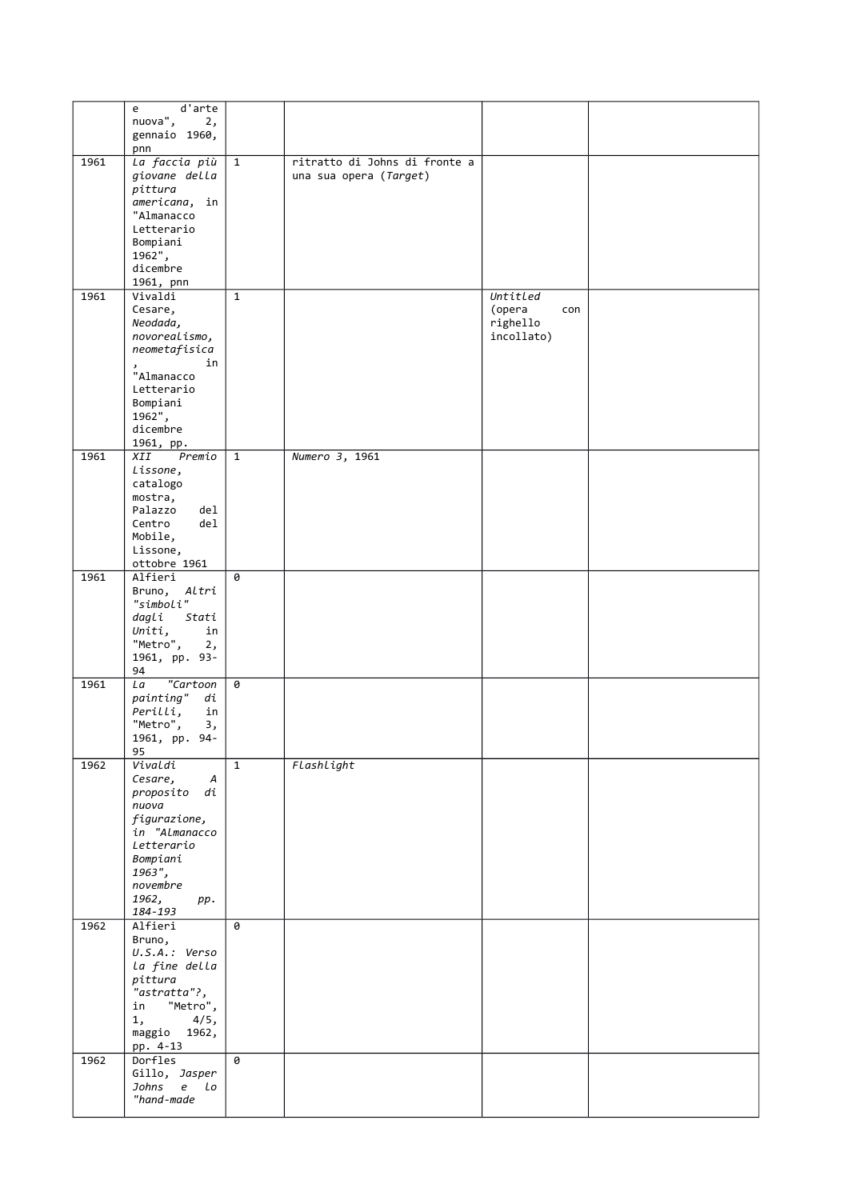|      | d'arte<br>e                                           |              |                                                         |                        |  |
|------|-------------------------------------------------------|--------------|---------------------------------------------------------|------------------------|--|
|      | nuova",<br>2,<br>gennaio 1960,                        |              |                                                         |                        |  |
|      | pnn                                                   |              |                                                         |                        |  |
| 1961 | La faccia più<br>giovane della<br>pittura             | $\mathbf{1}$ | ritratto di Johns di fronte a<br>una sua opera (Target) |                        |  |
|      | americana, in<br>"Almanacco<br>Letterario<br>Bompiani |              |                                                         |                        |  |
|      | 1962",<br>dicembre<br>1961, pnn                       |              |                                                         |                        |  |
| 1961 | Vivaldi                                               | $\mathbf{1}$ |                                                         | Untitled               |  |
|      | Cesare,                                               |              |                                                         | (opera<br>con          |  |
|      | Neodada,<br>novorealismo,                             |              |                                                         | righello<br>incollato) |  |
|      | neometafisica                                         |              |                                                         |                        |  |
|      | in                                                    |              |                                                         |                        |  |
|      | "Almanacco<br>Letterario                              |              |                                                         |                        |  |
|      | Bompiani                                              |              |                                                         |                        |  |
|      | 1962",                                                |              |                                                         |                        |  |
|      | dicembre                                              |              |                                                         |                        |  |
| 1961 | 1961, pp.<br>Premio<br>XII                            | $\mathbf{1}$ | Numero 3, 1961                                          |                        |  |
|      | Lissone,                                              |              |                                                         |                        |  |
|      | catalogo                                              |              |                                                         |                        |  |
|      | mostra,                                               |              |                                                         |                        |  |
|      | Palazzo<br>del<br>Centro<br>del.                      |              |                                                         |                        |  |
|      | Mobile,                                               |              |                                                         |                        |  |
|      | Lissone,                                              |              |                                                         |                        |  |
| 1961 | ottobre 1961<br>Alfieri                               | 0            |                                                         |                        |  |
|      | Bruno, Altri                                          |              |                                                         |                        |  |
|      | "simboli"                                             |              |                                                         |                        |  |
|      | dagli<br>Stati<br>Uniti,<br>in                        |              |                                                         |                        |  |
|      | "Metro",<br>2,                                        |              |                                                         |                        |  |
|      | 1961, pp. 93-                                         |              |                                                         |                        |  |
| 1961 | 94<br>"Cartoon<br>La                                  | 0            |                                                         |                        |  |
|      | painting"<br>di                                       |              |                                                         |                        |  |
|      | Perilli,<br>in                                        |              |                                                         |                        |  |
|      | "Metro",<br>3,<br>94-                                 |              |                                                         |                        |  |
|      | 1961, pp.<br>95                                       |              |                                                         |                        |  |
| 1962 | Vivaldi                                               | $\mathbf{1}$ | Flashlight                                              |                        |  |
|      | Cesare,<br>A<br>proposito di                          |              |                                                         |                        |  |
|      | nuova                                                 |              |                                                         |                        |  |
|      | figurazione,<br>in "Almanacco                         |              |                                                         |                        |  |
|      | Letterario                                            |              |                                                         |                        |  |
|      | Bompiani                                              |              |                                                         |                        |  |
|      | 1963",                                                |              |                                                         |                        |  |
|      | novembre<br>1962,<br>pp.                              |              |                                                         |                        |  |
|      | 184-193                                               |              |                                                         |                        |  |
| 1962 | Alfieri                                               | 0            |                                                         |                        |  |
|      | Bruno,<br>$U.S.A.:$ Verso                             |              |                                                         |                        |  |
|      | La fine della                                         |              |                                                         |                        |  |
|      | pittura                                               |              |                                                         |                        |  |
|      | "astratta"?,<br>"Metro",<br>in                        |              |                                                         |                        |  |
|      | 1,<br>4/5,                                            |              |                                                         |                        |  |
|      | maggio 1962,                                          |              |                                                         |                        |  |
|      | pp. 4-13                                              |              |                                                         |                        |  |
| 1962 | Dorfles<br>Gillo, Jasper                              | 0            |                                                         |                        |  |
|      | Johns e Lo                                            |              |                                                         |                        |  |
|      | "hand-made                                            |              |                                                         |                        |  |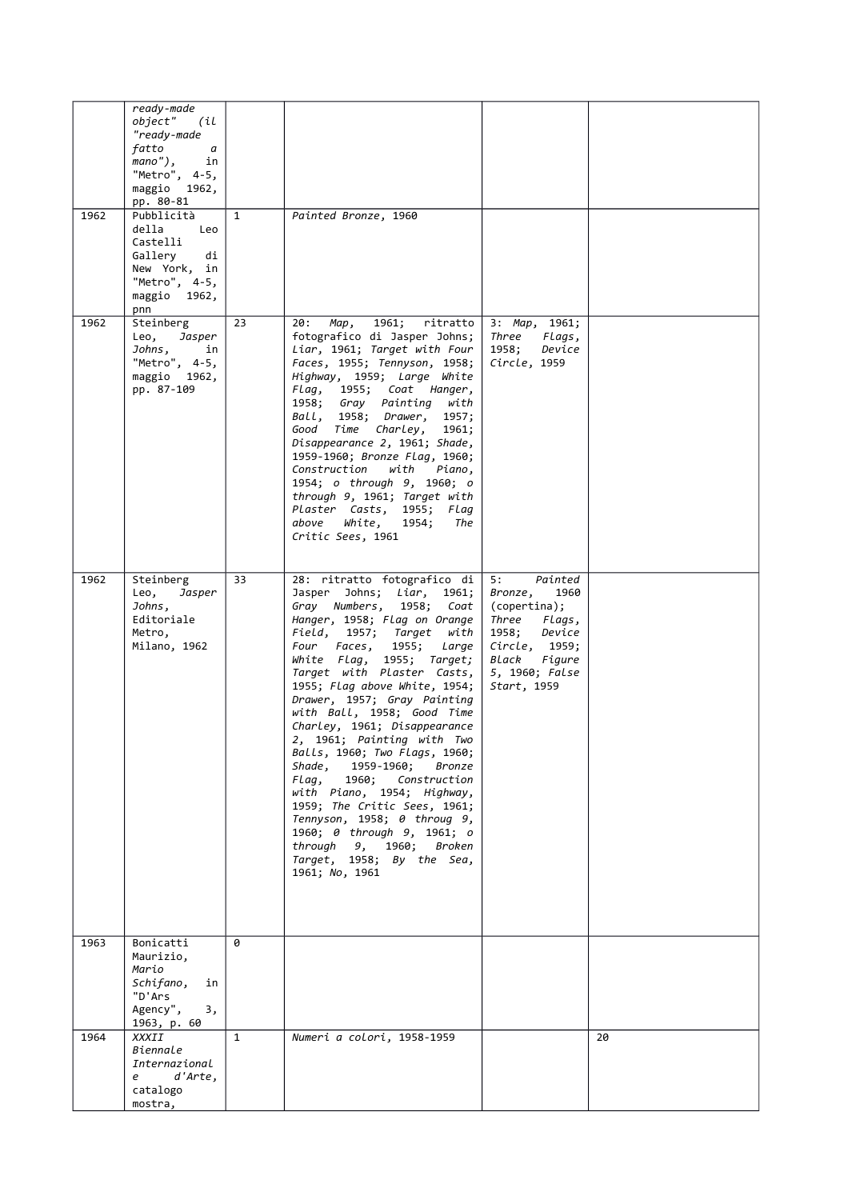| 1962 | ready-made<br>object"<br>(il<br>"ready-made<br>fatto<br>a a<br>mano"),<br>in<br>"Metro", 4-5,<br>maggio 1962,<br>pp. 80-81<br>Pubblicità<br>della<br>Leo | $\mathbf{1}$ | Painted Bronze, 1960                                                                                                                                                                                                                                                                                                                                                                                                                                                                                                                                                                                                                                                                                               |                                                                                                                                                          |    |
|------|----------------------------------------------------------------------------------------------------------------------------------------------------------|--------------|--------------------------------------------------------------------------------------------------------------------------------------------------------------------------------------------------------------------------------------------------------------------------------------------------------------------------------------------------------------------------------------------------------------------------------------------------------------------------------------------------------------------------------------------------------------------------------------------------------------------------------------------------------------------------------------------------------------------|----------------------------------------------------------------------------------------------------------------------------------------------------------|----|
|      | Castelli<br>Gallery<br>di<br>New York, in<br>"Metro", 4-5,<br>maggio 1962,<br>pnn                                                                        |              |                                                                                                                                                                                                                                                                                                                                                                                                                                                                                                                                                                                                                                                                                                                    |                                                                                                                                                          |    |
| 1962 | Steinberg<br>Leo,<br>Jasper<br>Johns,<br>in<br>"Metro", 4-5,<br>maggio 1962,<br>pp. 87-109                                                               | 23           | 1961;<br>ritratto<br>20:<br>Map,<br>fotografico di Jasper Johns;<br>Liar, 1961; Target with Four<br>Faces, 1955; Tennyson, 1958;<br>Highway, 1959; Large White<br>Flag, 1955; Coat Hanger,<br>1958; Gray Painting with<br>Ball, 1958; Drawer, 1957;<br>Good Time Charley, 1961;<br>Disappearance 2, 1961; Shade,<br>1959-1960; Bronze Flag, 1960;<br>Construction with<br>Piano,<br>1954; o through 9, 1960; o<br>through 9, 1961; Target with<br>Plaster Casts, 1955; Flag<br>above<br>White,<br>1954;<br>The<br>Critic Sees, 1961                                                                                                                                                                                | 3: Map, 1961;<br>Three<br>Flags,<br>1958;<br>Device<br>Circle, 1959                                                                                      |    |
| 1962 | Steinberg<br>Leo,<br>Jasper<br>Johns,<br>Editoriale<br>Metro,<br>Milano, 1962                                                                            | 33           | 28: ritratto fotografico di<br>Jasper Johns; Liar, 1961;<br>Gray Numbers, 1958; Coat<br>Hanger, 1958; Flag on Orange<br>Field,<br>1957; Target with<br>Four Faces, 1955; Large<br>White Flag, 1955; Target;<br>Target with Plaster Casts,<br>1955; Flag above White, 1954;<br>Drawer, 1957; Gray Painting<br>with Ball, 1958; Good Time<br>Charley, 1961; Disappearance<br>2, 1961; Painting with Two<br>Balls, 1960; Two Flags, 1960;<br>Shade,<br>1959-1960;<br>Bronze<br>1960;<br>Flaq,<br>Construction<br>with Piano, 1954; Highway,<br>1959; The Critic Sees, 1961;<br>Tennyson, 1958; 0 throug 9,<br>1960; 0 through 9, 1961; o<br>through 9, 1960;<br>Broken<br>Target, 1958; By the Sea,<br>1961; No, 1961 | Painted<br>5:<br>Bronze,<br>1960<br>(copertina);<br>Three Flags,<br>1958;<br>Device<br>Circle, 1959;<br>Black<br>Figure<br>5, 1960; False<br>Start, 1959 |    |
| 1963 | Bonicatti<br>Maurizio,<br>Mario<br>Schifano,<br>in<br>"D'Ars<br>Agency",<br>3,                                                                           | 0            |                                                                                                                                                                                                                                                                                                                                                                                                                                                                                                                                                                                                                                                                                                                    |                                                                                                                                                          |    |
| 1964 | 1963, p. 60<br>XXXII<br>Biennale<br>Internazional<br>d'Arte,<br>e<br>catalogo<br>mostra,                                                                 | $\mathbf{1}$ | Numeri a colori, 1958-1959                                                                                                                                                                                                                                                                                                                                                                                                                                                                                                                                                                                                                                                                                         |                                                                                                                                                          | 20 |